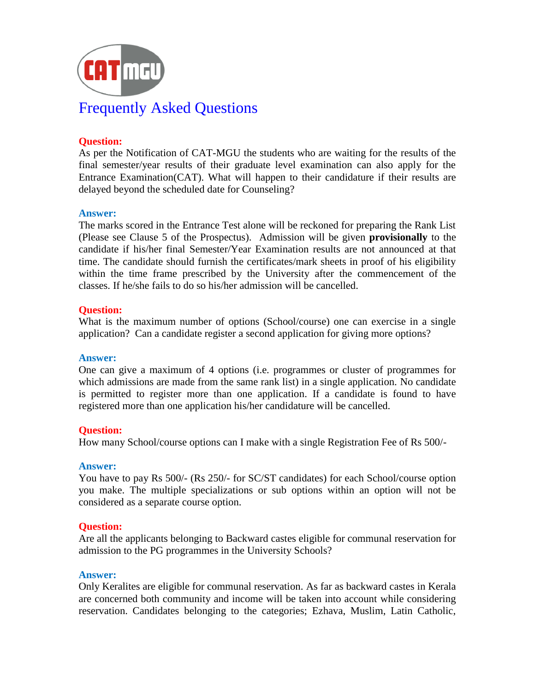

# **Question:**

As per the Notification of CAT-MGU the students who are waiting for the results of the final semester/year results of their graduate level examination can also apply for the Entrance Examination(CAT). What will happen to their candidature if their results are delayed beyond the scheduled date for Counseling?

## **Answer:**

The marks scored in the Entrance Test alone will be reckoned for preparing the Rank List (Please see Clause 5 of the Prospectus). Admission will be given **provisionally** to the candidate if his/her final Semester/Year Examination results are not announced at that time. The candidate should furnish the certificates/mark sheets in proof of his eligibility within the time frame prescribed by the University after the commencement of the classes. If he/she fails to do so his/her admission will be cancelled.

## **Question:**

What is the maximum number of options (School/course) one can exercise in a single application? Can a candidate register a second application for giving more options?

### **Answer:**

One can give a maximum of 4 options (i.e. programmes or cluster of programmes for which admissions are made from the same rank list) in a single application. No candidate is permitted to register more than one application. If a candidate is found to have registered more than one application his/her candidature will be cancelled.

# **Question:**

How many School/course options can I make with a single Registration Fee of Rs 500/-

### **Answer:**

You have to pay Rs 500/- (Rs 250/- for SC/ST candidates) for each School/course option you make. The multiple specializations or sub options within an option will not be considered as a separate course option.

### **Question:**

Are all the applicants belonging to Backward castes eligible for communal reservation for admission to the PG programmes in the University Schools?

### **Answer:**

Only Keralites are eligible for communal reservation. As far as backward castes in Kerala are concerned both community and income will be taken into account while considering reservation. Candidates belonging to the categories; Ezhava, Muslim, Latin Catholic,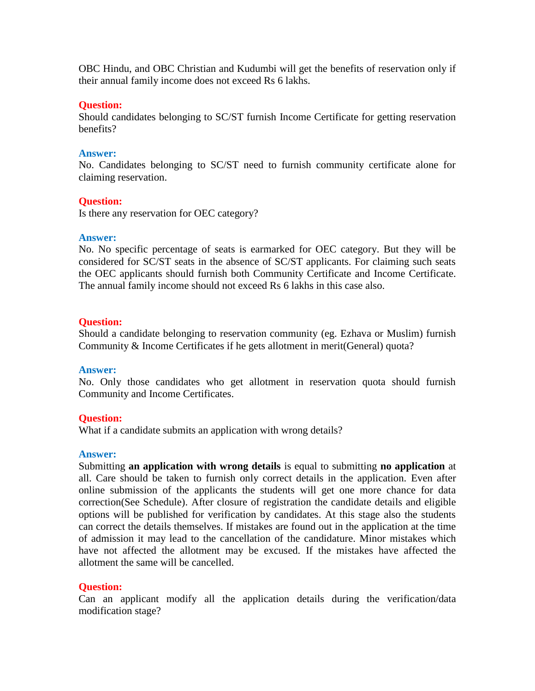OBC Hindu, and OBC Christian and Kudumbi will get the benefits of reservation only if their annual family income does not exceed Rs 6 lakhs.

### **Question:**

Should candidates belonging to SC/ST furnish Income Certificate for getting reservation benefits?

## **Answer:**

No. Candidates belonging to SC/ST need to furnish community certificate alone for claiming reservation.

# **Question:**

Is there any reservation for OEC category?

## **Answer:**

No. No specific percentage of seats is earmarked for OEC category. But they will be considered for SC/ST seats in the absence of SC/ST applicants. For claiming such seats the OEC applicants should furnish both Community Certificate and Income Certificate. The annual family income should not exceed Rs 6 lakhs in this case also.

## **Question:**

Should a candidate belonging to reservation community (eg. Ezhava or Muslim) furnish Community & Income Certificates if he gets allotment in merit(General) quota?

### **Answer:**

No. Only those candidates who get allotment in reservation quota should furnish Community and Income Certificates.

# **Question:**

What if a candidate submits an application with wrong details?

### **Answer:**

Submitting **an application with wrong details** is equal to submitting **no application** at all. Care should be taken to furnish only correct details in the application. Even after online submission of the applicants the students will get one more chance for data correction(See Schedule). After closure of registration the candidate details and eligible options will be published for verification by candidates. At this stage also the students can correct the details themselves. If mistakes are found out in the application at the time of admission it may lead to the cancellation of the candidature. Minor mistakes which have not affected the allotment may be excused. If the mistakes have affected the allotment the same will be cancelled.

# **Question:**

Can an applicant modify all the application details during the verification/data modification stage?